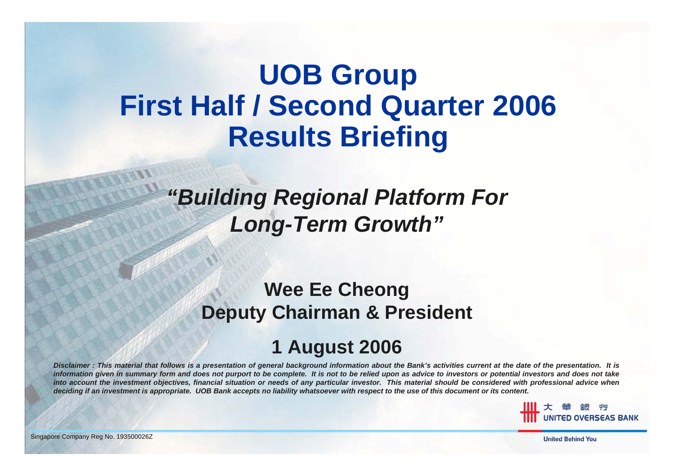# **UOB Group First Half / Second Quarter 2006 Results Briefing**

#### *"Building Regional Platform For Long-Term Growth"*

#### **Wee Ee Cheong Deputy Chairman & President**

#### **1 August 2006**

*Disclaimer : This material that follows is a presentation of general background information about the Bank's activities current at the date of the presentation. It is* information given in summary form and does not purport to be complete. It is not to be relied upon as advice to investors or potential investors and does not take *into account the investment objectives, financial situation or needs of any particular investor. This material should be considered with professional advice when deciding if an investment is appropriate. UOB Bank accepts no liability whatsoever with respect to the use of this document or its content.*

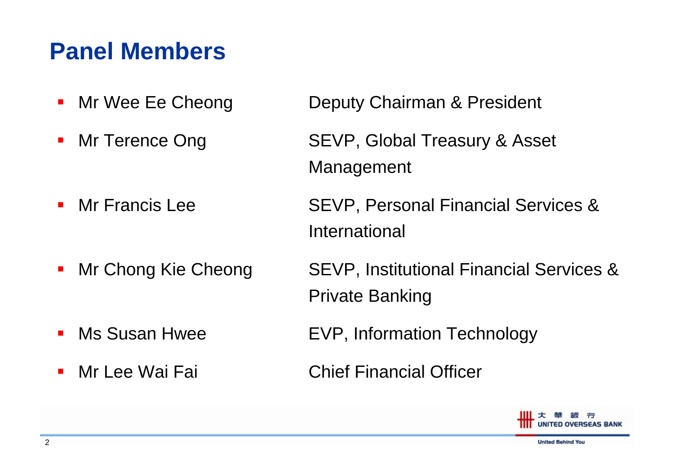#### **Panel Members**

- $\mathcal{L}_{\mathcal{A}}$
- $\mathcal{L}_{\mathcal{A}}$
- $\mathbf{r}$ Mr Francis Lee
- $\mathcal{L}_{\mathcal{A}}$
- T. Ms Susan Hwee
- $\mathcal{L}_{\mathcal{A}}$

Mr Wee Ee Cheong Deputy Chairman & President

- Mr Terence Ong SEVP, Global Treasury & Asset Management
	- SEVP, Personal Financial Services & International
- Mr Chong Kie Cheong SEVP, Institutional Financial Services & Private Banking
	- EVP, Information Technology
- Mr Lee Wai Fai Chief Financial Officer

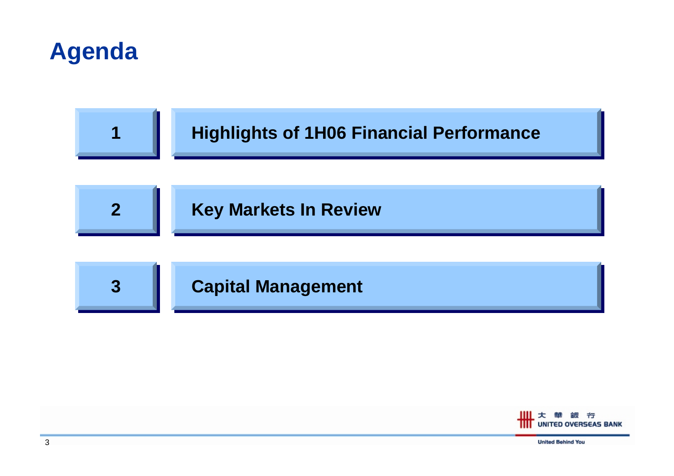



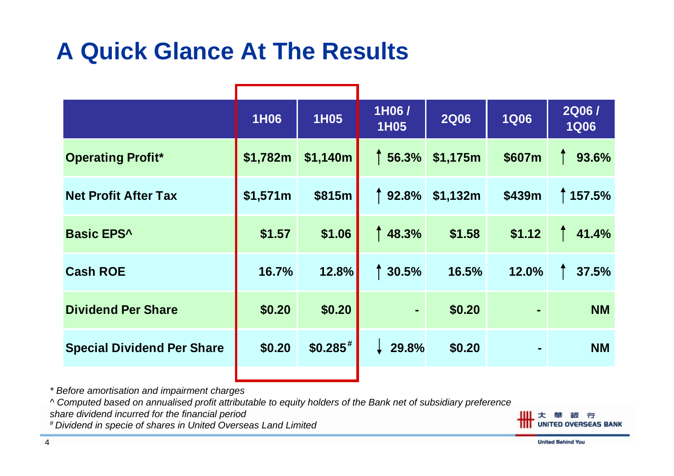### **A Quick Glance At The Results**

|                                   | <b>1H06</b> | <b>1H05</b>           | 1H06/<br><b>1H05</b> | <b>2Q06</b> | <b>1Q06</b> | <b>2Q06/</b><br><b>1Q06</b> |
|-----------------------------------|-------------|-----------------------|----------------------|-------------|-------------|-----------------------------|
| <b>Operating Profit*</b>          | \$1,782m    | \$1,140m              | 156.3%               | \$1,175m    | \$607m      | 93.6%                       |
| <b>Net Profit After Tax</b>       | \$1,571m    | \$815m                | 192.8%               | \$1,132m    | \$439m      | 157.5%                      |
| <b>Basic EPS^</b>                 | \$1.57      | \$1.06                | 148.3%               | \$1.58      | \$1.12      | 41.4%                       |
| <b>Cash ROE</b>                   | 16.7%       | 12.8%                 | 130.5%               | 16.5%       | 12.0%       | 37.5%                       |
| <b>Dividend Per Share</b>         | \$0.20      | \$0.20                | $\blacksquare$       | \$0.20      | ۰           | <b>NM</b>                   |
| <b>Special Dividend Per Share</b> | \$0.20      | $$0.285$ <sup>#</sup> | $\downarrow$ 29.8%   | \$0.20      | ۰           | <b>NM</b>                   |
|                                   |             |                       |                      |             |             |                             |

*\* Before amortisation and impairment charges*

*^ Computed based on annualised profit attributable to equity holders of the Bank net of subsidiary preferen c e*

*share dividend incurred for the financial period*

*# Dividend in specie of shares in United Overseas Land Limited*

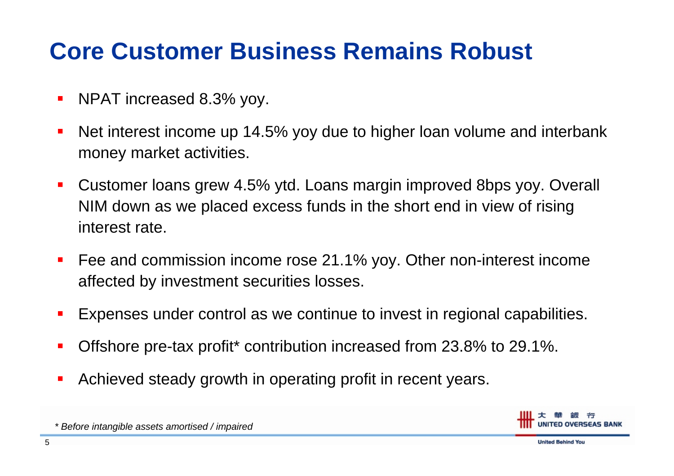### **Core Customer Business Remains Robust**

- $\blacksquare$ NPAT increased 8.3% yoy.
- $\mathbf{r}$  Net interest income up 14.5% yoy due to higher loan volume and interbank money market activities.
- $\mathcal{L}_{\mathcal{A}}$  Customer loans grew 4.5% ytd. Loans margin improved 8bps yoy. Overall NIM down as we placed excess funds in the short end in view of rising interest rate.
- $\mathcal{L}_{\mathcal{A}}$ ■ Fee and commission income rose 21.1% yoy. Other non-interest income affecte d by investment securities losses.
- $\blacksquare$ Expenses under control as we continue to invest in regional capabilities.
- L. Offshore pre-tax profit\* contribution increased from 23.8% to 29.1%.
- П Achieved steady growth in operating profit in recent years.



*\* Before intan gible ass ets amortised / impaire d*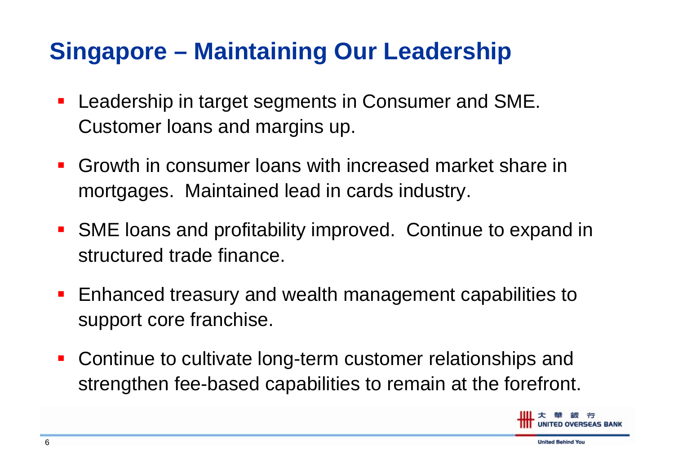# **Singapore – Maintaining Our Leadership**

- Leadership in target segments in Consumer and SME. Customer loans and margins up.
- $\mathcal{L}_{\mathcal{A}}$  Growth in consumer loans with increased market share in mortgages. Maintained lead in cards industry.
- $\mathcal{L}_{\mathcal{A}}$  SME loans and profitability improved. Continue to expand in structured trade finance.
- Enhanced treasury and wealth management capabilities to support core franchise.
- $\mathcal{L}_{\mathcal{A}}$  Continue to cultivate long-term customer relationships and strengthen fee-based capabilities to remain at the forefront.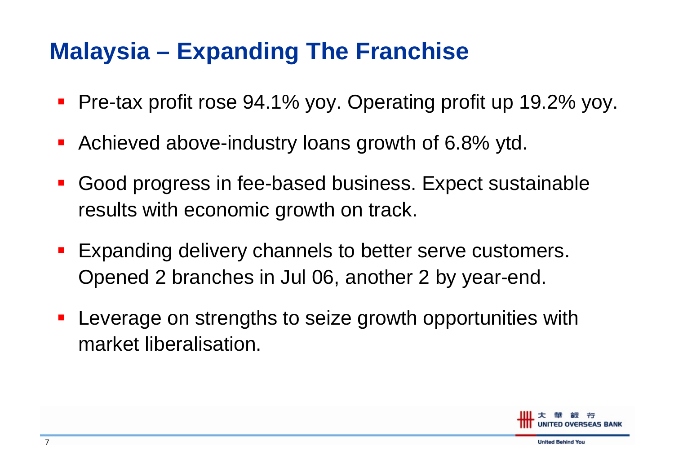# **Malaysia – Expanding The Franchise**

- Pre-tax profit rose 94.1% yoy. Operating profit up 19.2% yoy.
- Achieved above-industry loans growth of 6.8% ytd.
- $\mathcal{L}_{\mathcal{A}}$  Good progress in fee-based business. Expect sustainable results with economic growth on track.
- Expanding delivery channels to better serve customers. Opened 2 branches in Jul 06, another 2 by year-end.
- Leverage on strengths to seize growth opportunities with market liberalisation.

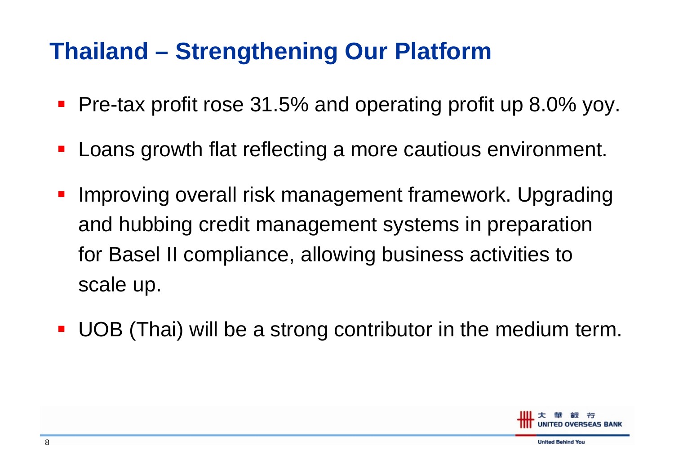# **Thailand – Strengthening Our Platform**

- $\mathcal{L}_{\mathcal{A}}$ Pre-tax profit rose 31.5% and operating profit up 8.0% yoy.
- **Service Service** Loans growth flat reflecting a more cautious environment.
- **Service Service**  Improving overall risk management framework. Upgrading and hubbing credit management systems in preparation for Basel II compliance, allowing business activities to scale up.
- **Service Service** UOB (Thai) will be a strong contributor in the medium term.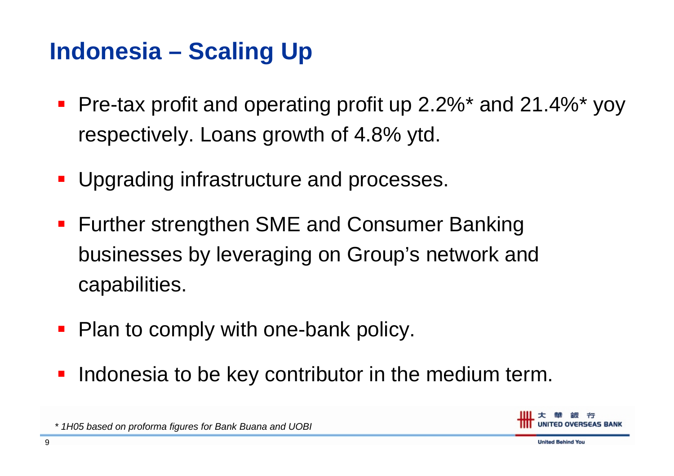# **Indonesia – Scaling Up**

- $\mathcal{L}_{\mathcal{A}}$  Pre-tax profit and operating profit up 2.2%\* and 21.4%\* yoy respectively. Loans growth of 4.8% ytd.
- **Service Service** Upgrading infrastructure and processes.
- **Further strengthen SME and Consumer Banking** businesses by leveraging on Group's network and capabilities.
- Plan to comply with one-bank policy.
- **Service Service** Indonesia to be key contributor in the medium term.



*\* 1H05 based on proforma figures for Bank Buana and UOBI*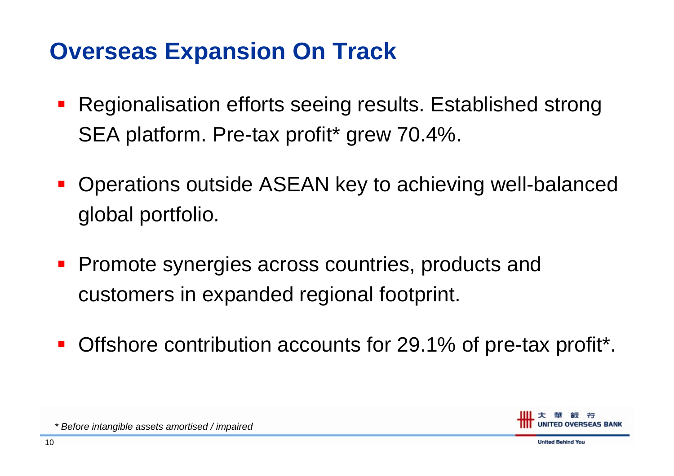#### **Overseas Expansion On Track**

- $\mathcal{L}_{\mathcal{A}}$ ■ Regionalisation efforts seeing results. Established strong SEA platform. Pre-tax profit\* grew 70.4%.
- **Service Service**  Operations outside ASEAN key to achieving well-balanced global portfolio.
- Promote synergies across countries, products and customers in expanded regional footprint.
- **Service Service** Offshore contribution accounts for 29.1% of pre-tax profit\*.



*\* Before intan gible ass ets amortised / impaire d*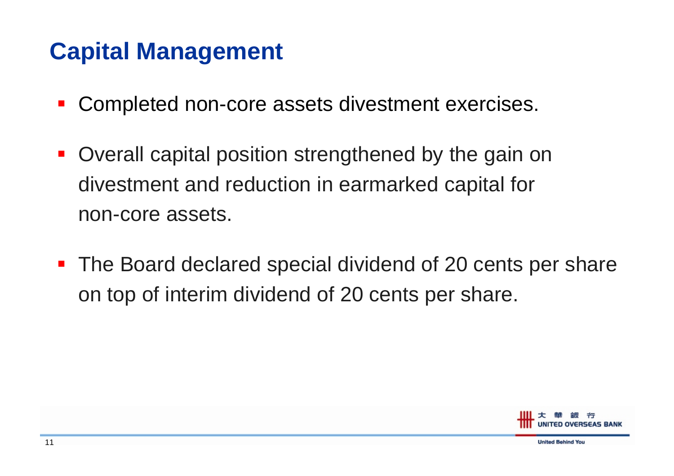# **Capital Management**

- **Service Service** Completed non-core assets divestment exercises.
- $\mathcal{L}_{\mathcal{A}}$  Overall capital position strengthened by the gain on divestment and reduction in earmarked capital for non-core assets.
- Ξ The Board declared special dividend of 20 cents per share on top of interim dividend of 20 cents per share.